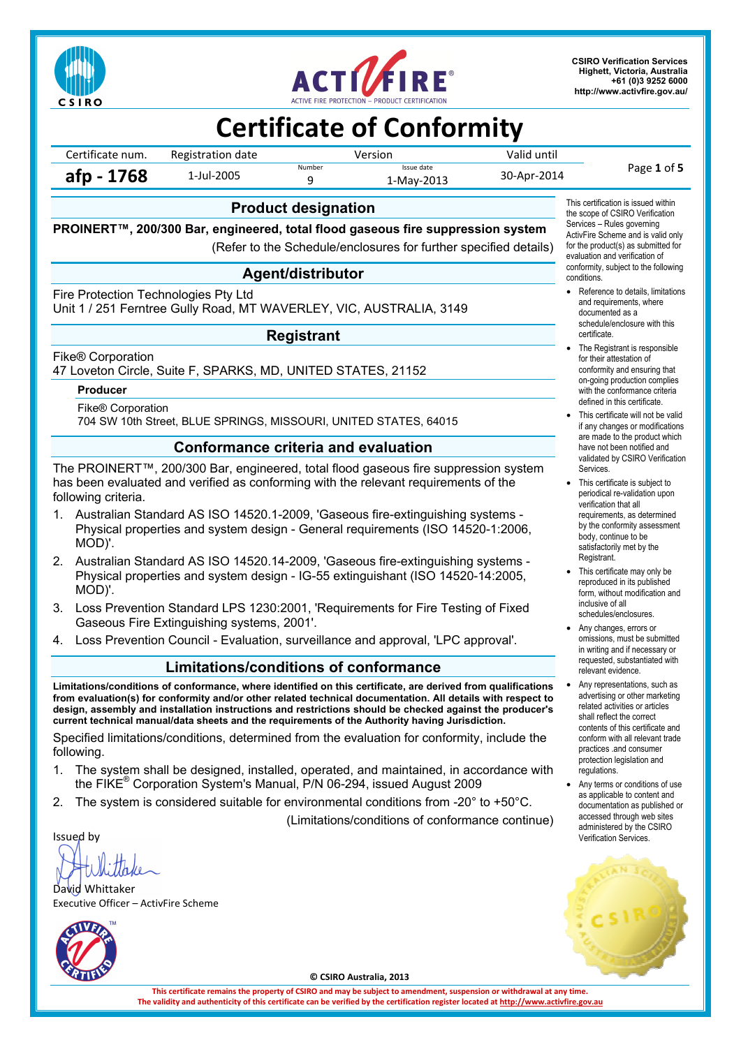



**CSIRO Verification Services Highett, Victoria, Australia +61 (0)3 9252 6000 http://www.activfire.gov.au/**

# **Certificate of Conformity**

Certificate num. Registration date Version Version Valid until **afp - 1768** 1-Jul-2005 **Number** Issue date Issue date 130-Apr-2014 **Page 1 of 5 and Page 1 of 5** 9 1-May-2013 30-Apr-2014

#### **Product designation**

**PROINERT™, 200/300 Bar, engineered, total flood gaseous fire suppression system** 

(Refer to the Schedule/enclosures for further specified details)

### **Agent/distributor**

Fire Protection Technologies Pty Ltd

Unit 1 / 251 Ferntree Gully Road, MT WAVERLEY, VIC, AUSTRALIA, 3149

#### **Registrant**

Fike® Corporation

47 Loveton Circle, Suite F, SPARKS, MD, UNITED STATES, 21152

#### **Producer**

Fike® Corporation

704 SW 10th Street, BLUE SPRINGS, MISSOURI, UNITED STATES, 64015

#### **Conformance criteria and evaluation**

The PROINERT™, 200/300 Bar, engineered, total flood gaseous fire suppression system has been evaluated and verified as conforming with the relevant requirements of the following criteria.

- 1. Australian Standard AS ISO 14520.1-2009, 'Gaseous fire-extinguishing systems Physical properties and system design - General requirements (ISO 14520-1:2006, MOD)'.
- 2. Australian Standard AS ISO 14520.14-2009, 'Gaseous fire-extinguishing systems Physical properties and system design - IG-55 extinguishant (ISO 14520-14:2005, MOD)'.
- 3. Loss Prevention Standard LPS 1230:2001, 'Requirements for Fire Testing of Fixed Gaseous Fire Extinguishing systems, 2001'.
- 4. Loss Prevention Council Evaluation, surveillance and approval, 'LPC approval'.

#### **Limitations/conditions of conformance**

**Limitations/conditions of conformance, where identified on this certificate, are derived from qualifications from evaluation(s) for conformity and/or other related technical documentation. All details with respect to design, assembly and installation instructions and restrictions should be checked against the producer's current technical manual/data sheets and the requirements of the Authority having Jurisdiction.** 

Specified limitations/conditions, determined from the evaluation for conformity, include the following.

- 1. The system shall be designed, installed, operated, and maintained, in accordance with the FIKE® Corporation System's Manual, P/N 06-294, issued August 2009
- 2. The system is considered suitable for environmental conditions from -20° to +50°C.

(Limitations/conditions of conformance continue)

Issued by

David Whittaker Executive Officer – ActivFire Scheme



**© CSIRO Australia, 2013** 

**This certificate remains the property of CSIRO and may be subject to amendment, suspension or withdrawal at any time. The validity and authenticity of this certificate can be verified by the certification register located at http://www.activfire.gov.au**

This certification is issued within the scope of CSIRO Verification Services – Rules governing ActivFire Scheme and is valid only for the product(s) as submitted for evaluation and verification of conformity, subject to the following conditions.

- Reference to details, limitations and requirements, where documented as a schedule/enclosure with this certificate.
- The Registrant is responsible for their attestation of conformity and ensuring that on-going production complies with the conformance criteria defined in this certificate.
- This certificate will not be valid if any changes or modifications are made to the product which have not been notified and validated by CSIRO Verification Services.
- This certificate is subject to periodical re-validation upon verification that all requirements, as determined by the conformity assessment body, continue to be satisfactorily met by the Registrant.
- This certificate may only be reproduced in its published form, without modification and inclusive of all schedules/enclosures.
- Any changes, errors or omissions, must be submitted in writing and if necessary or requested, substantiated with relevant evidence.
- Any representations, such as advertising or other marketing related activities or articles shall reflect the correct contents of this certificate and conform with all relevant trade practices .and consumer protection legislation and regulations.
- Any terms or conditions of use as applicable to content and documentation as published or accessed through web sites administered by the CSIRO Verification Services.

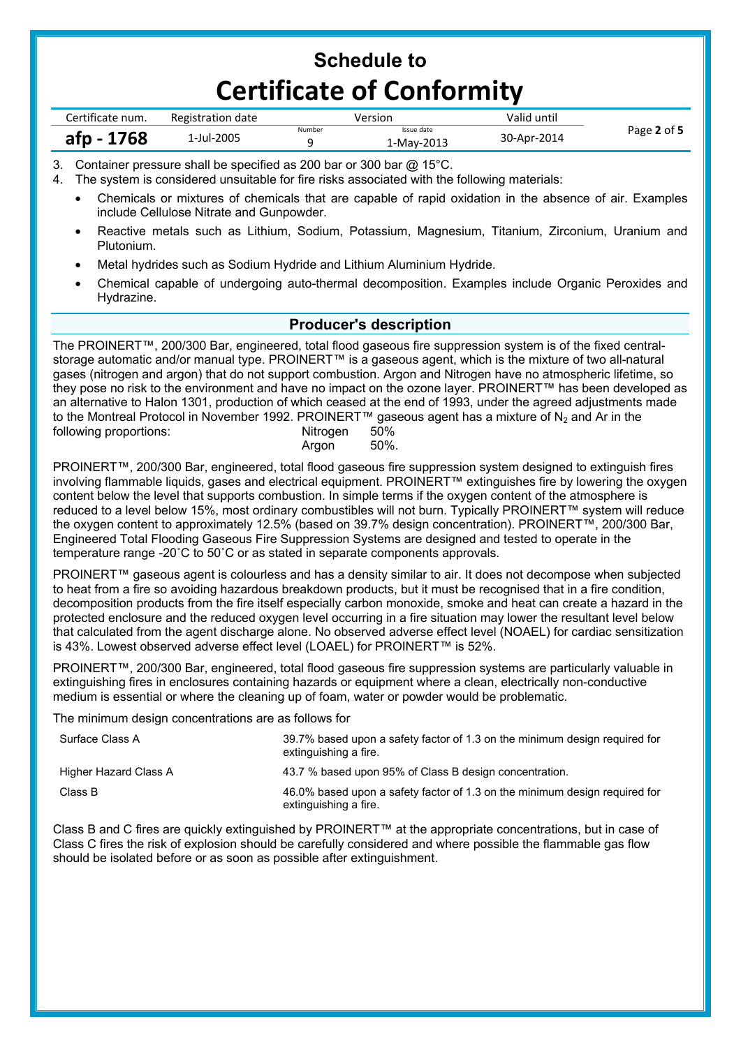| Certificate num. | Registration date | Version |                          | Valid until |             |
|------------------|-------------------|---------|--------------------------|-------------|-------------|
| afp - 1768       | 1-Jul-2005        | Number  | Issue date<br>1-May-2013 | 30-Apr-2014 | Page 2 of 5 |

3. Container pressure shall be specified as 200 bar or 300 bar @ 15°C.

4. The system is considered unsuitable for fire risks associated with the following materials:

- Chemicals or mixtures of chemicals that are capable of rapid oxidation in the absence of air. Examples include Cellulose Nitrate and Gunpowder.
- Reactive metals such as Lithium, Sodium, Potassium, Magnesium, Titanium, Zirconium, Uranium and Plutonium.
- Metal hydrides such as Sodium Hydride and Lithium Aluminium Hydride.
- Chemical capable of undergoing auto-thermal decomposition. Examples include Organic Peroxides and Hydrazine.

### **Producer's description**

The PROINERT™, 200/300 Bar, engineered, total flood gaseous fire suppression system is of the fixed centralstorage automatic and/or manual type. PROINERT™ is a gaseous agent, which is the mixture of two all-natural gases (nitrogen and argon) that do not support combustion. Argon and Nitrogen have no atmospheric lifetime, so they pose no risk to the environment and have no impact on the ozone layer. PROINERT™ has been developed as an alternative to Halon 1301, production of which ceased at the end of 1993, under the agreed adjustments made to the Montreal Protocol in November 1992. PROINERT™ gaseous agent has a mixture of N<sub>2</sub> and Ar in the following proportions:<br>Nitrogen 50% following proportions: **Argon** 50%.

PROINERT™, 200/300 Bar, engineered, total flood gaseous fire suppression system designed to extinguish fires involving flammable liquids, gases and electrical equipment. PROINERT™ extinguishes fire by lowering the oxygen content below the level that supports combustion. In simple terms if the oxygen content of the atmosphere is reduced to a level below 15%, most ordinary combustibles will not burn. Typically PROINERT™ system will reduce the oxygen content to approximately 12.5% (based on 39.7% design concentration). PROINERT™, 200/300 Bar, Engineered Total Flooding Gaseous Fire Suppression Systems are designed and tested to operate in the temperature range -20˚C to 50˚C or as stated in separate components approvals.

PROINERT™ gaseous agent is colourless and has a density similar to air. It does not decompose when subjected to heat from a fire so avoiding hazardous breakdown products, but it must be recognised that in a fire condition, decomposition products from the fire itself especially carbon monoxide, smoke and heat can create a hazard in the protected enclosure and the reduced oxygen level occurring in a fire situation may lower the resultant level below that calculated from the agent discharge alone. No observed adverse effect level (NOAEL) for cardiac sensitization is 43%. Lowest observed adverse effect level (LOAEL) for PROINERT™ is 52%.

PROINERT™, 200/300 Bar, engineered, total flood gaseous fire suppression systems are particularly valuable in extinguishing fires in enclosures containing hazards or equipment where a clean, electrically non-conductive medium is essential or where the cleaning up of foam, water or powder would be problematic.

The minimum design concentrations are as follows for

| Surface Class A       | 39.7% based upon a safety factor of 1.3 on the minimum design required for<br>extinguishing a fire. |
|-----------------------|-----------------------------------------------------------------------------------------------------|
| Higher Hazard Class A | 43.7 % based upon 95% of Class B design concentration.                                              |
| Class B               | 46.0% based upon a safety factor of 1.3 on the minimum design required for<br>extinguishing a fire. |

Class B and C fires are quickly extinguished by PROINERT™ at the appropriate concentrations, but in case of Class C fires the risk of explosion should be carefully considered and where possible the flammable gas flow should be isolated before or as soon as possible after extinguishment.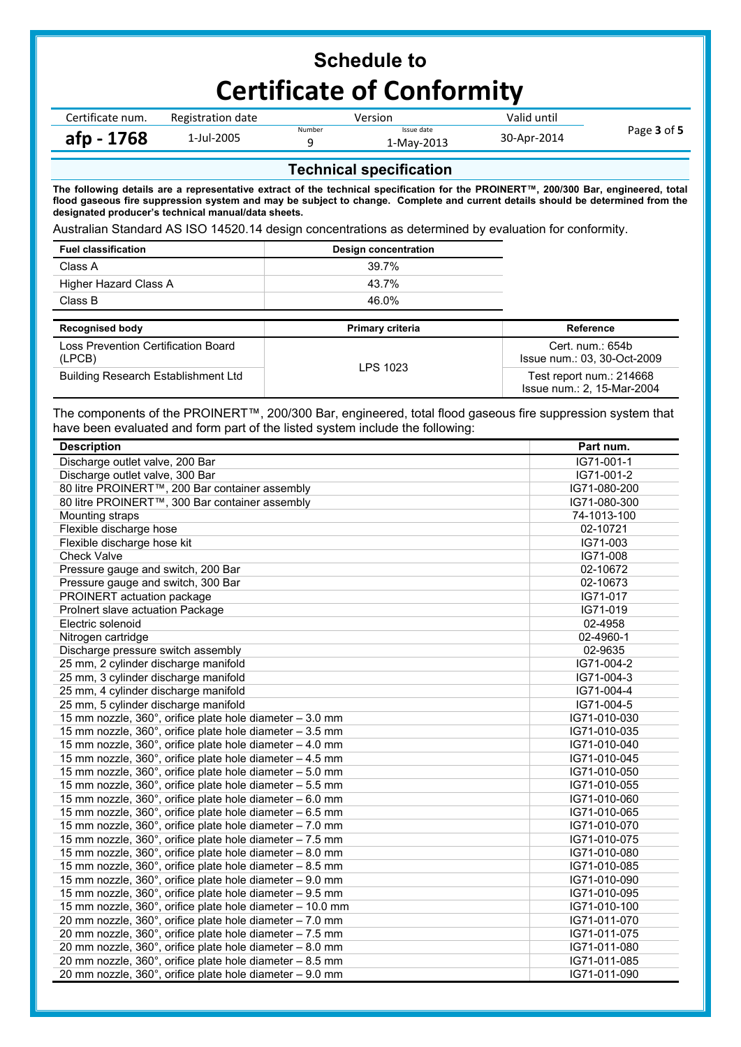| Certificate num. | Registration date | Version |                         | Valid until |             |  |
|------------------|-------------------|---------|-------------------------|-------------|-------------|--|
| afp - 1768       | 1-Jul-2005        | Number  | Issue date<br>-May-2013 | 30-Apr-2014 | Page 3 of 5 |  |

### **Technical specification**

**The following details are a representative extract of the technical specification for the PROINERT™, 200/300 Bar, engineered, total flood gaseous fire suppression system and may be subject to change. Complete and current details should be determined from the designated producer's technical manual/data sheets.** 

Australian Standard AS ISO 14520.14 design concentrations as determined by evaluation for conformity.

| <b>Fuel classification</b>                    | Design concentration |                                                 |
|-----------------------------------------------|----------------------|-------------------------------------------------|
| Class A                                       | 39.7%                |                                                 |
| Higher Hazard Class A                         | 43.7%                |                                                 |
| Class B                                       | 46.0%                |                                                 |
|                                               |                      |                                                 |
|                                               |                      |                                                 |
| <b>Recognised body</b>                        | Primary criteria     | Reference                                       |
| Loss Prevention Certification Board<br>(LPCB) | LPS 1023             | Cert. num.: 654b<br>Issue num.: 03, 30-Oct-2009 |

The components of the PROINERT™, 200/300 Bar, engineered, total flood gaseous fire suppression system that have been evaluated and form part of the listed system include the following:

| <b>Description</b>                                        | Part num.    |
|-----------------------------------------------------------|--------------|
| Discharge outlet valve, 200 Bar                           | IG71-001-1   |
| Discharge outlet valve, 300 Bar                           | IG71-001-2   |
| 80 litre PROINERT™, 200 Bar container assembly            | IG71-080-200 |
| 80 litre PROINERT™, 300 Bar container assembly            | IG71-080-300 |
| Mounting straps                                           | 74-1013-100  |
| Flexible discharge hose                                   | 02-10721     |
| Flexible discharge hose kit                               | IG71-003     |
| <b>Check Valve</b>                                        | IG71-008     |
| Pressure gauge and switch, 200 Bar                        | 02-10672     |
| Pressure gauge and switch, 300 Bar                        | 02-10673     |
| PROINERT actuation package                                | IG71-017     |
| Prolnert slave actuation Package                          | IG71-019     |
| Electric solenoid                                         | 02-4958      |
| Nitrogen cartridge                                        | 02-4960-1    |
| Discharge pressure switch assembly                        | 02-9635      |
| 25 mm, 2 cylinder discharge manifold                      | IG71-004-2   |
| 25 mm, 3 cylinder discharge manifold                      | IG71-004-3   |
| 25 mm, 4 cylinder discharge manifold                      | IG71-004-4   |
| 25 mm, 5 cylinder discharge manifold                      | IG71-004-5   |
| 15 mm nozzle, 360°, orifice plate hole diameter - 3.0 mm  | IG71-010-030 |
| 15 mm nozzle, 360°, orifice plate hole diameter - 3.5 mm  | IG71-010-035 |
| 15 mm nozzle, 360°, orifice plate hole diameter - 4.0 mm  | IG71-010-040 |
| 15 mm nozzle, 360°, orifice plate hole diameter - 4.5 mm  | IG71-010-045 |
| 15 mm nozzle, 360°, orifice plate hole diameter - 5.0 mm  | IG71-010-050 |
| 15 mm nozzle, 360°, orifice plate hole diameter - 5.5 mm  | IG71-010-055 |
| 15 mm nozzle, 360°, orifice plate hole diameter - 6.0 mm  | IG71-010-060 |
| 15 mm nozzle, 360°, orifice plate hole diameter - 6.5 mm  | IG71-010-065 |
| 15 mm nozzle, 360°, orifice plate hole diameter - 7.0 mm  | IG71-010-070 |
| 15 mm nozzle, 360°, orifice plate hole diameter - 7.5 mm  | IG71-010-075 |
| 15 mm nozzle, 360°, orifice plate hole diameter - 8.0 mm  | IG71-010-080 |
| 15 mm nozzle, 360°, orifice plate hole diameter - 8.5 mm  | IG71-010-085 |
| 15 mm nozzle, 360°, orifice plate hole diameter - 9.0 mm  | IG71-010-090 |
| 15 mm nozzle, 360°, orifice plate hole diameter - 9.5 mm  | IG71-010-095 |
| 15 mm nozzle, 360°, orifice plate hole diameter - 10.0 mm | IG71-010-100 |
| 20 mm nozzle, 360°, orifice plate hole diameter - 7.0 mm  | IG71-011-070 |
| 20 mm nozzle, 360°, orifice plate hole diameter - 7.5 mm  | IG71-011-075 |
| 20 mm nozzle, 360°, orifice plate hole diameter - 8.0 mm  | IG71-011-080 |
| 20 mm nozzle, 360°, orifice plate hole diameter - 8.5 mm  | IG71-011-085 |
| 20 mm nozzle, 360°, orifice plate hole diameter - 9.0 mm  | IG71-011-090 |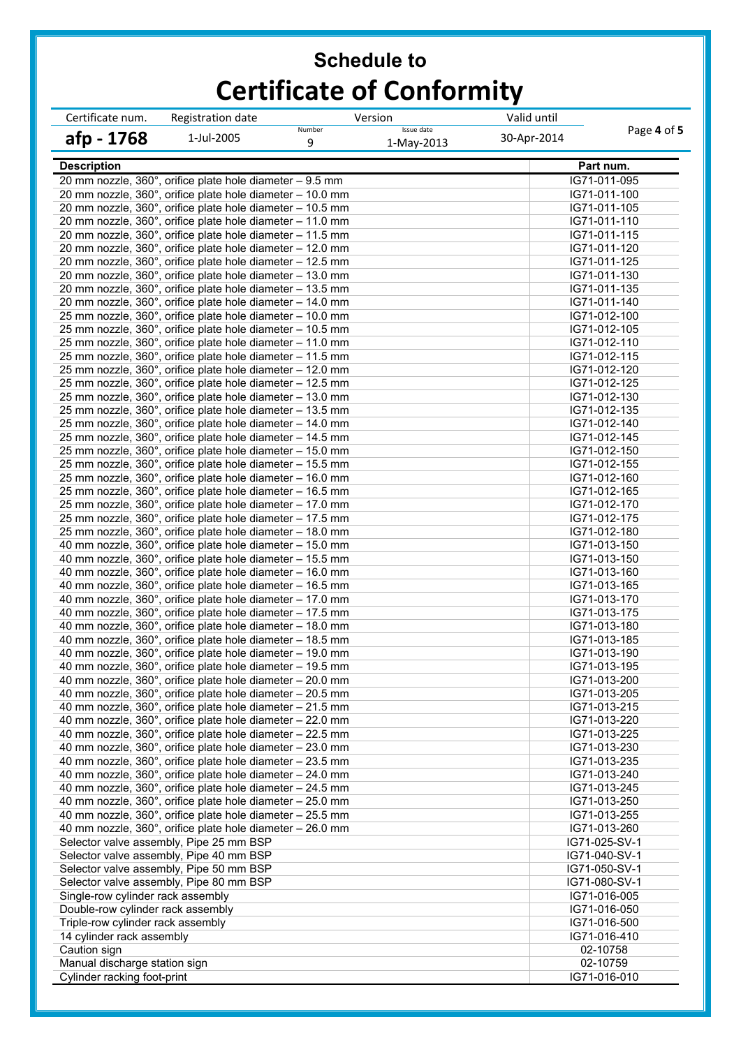| Certificate num.                  | Registration date                                                                                                      | Version                                 | Valid until |                                |
|-----------------------------------|------------------------------------------------------------------------------------------------------------------------|-----------------------------------------|-------------|--------------------------------|
| afp - 1768                        | 1-Jul-2005                                                                                                             | Issue date<br>Number<br>9<br>1-May-2013 | 30-Apr-2014 | Page 4 of 5                    |
| <b>Description</b>                |                                                                                                                        |                                         |             | Part num.                      |
|                                   | 20 mm nozzle, 360°, orifice plate hole diameter - 9.5 mm                                                               |                                         |             | IG71-011-095                   |
|                                   | 20 mm nozzle, 360°, orifice plate hole diameter - 10.0 mm                                                              |                                         |             | IG71-011-100                   |
|                                   | 20 mm nozzle, 360°, orifice plate hole diameter - 10.5 mm                                                              |                                         |             | IG71-011-105                   |
|                                   | 20 mm nozzle, 360°, orifice plate hole diameter - 11.0 mm                                                              |                                         |             | IG71-011-110                   |
|                                   | 20 mm nozzle, 360°, orifice plate hole diameter - 11.5 mm                                                              |                                         |             | IG71-011-115                   |
|                                   | 20 mm nozzle, 360°, orifice plate hole diameter - 12.0 mm<br>20 mm nozzle, 360°, orifice plate hole diameter - 12.5 mm |                                         |             | IG71-011-120<br>IG71-011-125   |
|                                   | 20 mm nozzle, 360°, orifice plate hole diameter - 13.0 mm                                                              |                                         |             | IG71-011-130                   |
|                                   | 20 mm nozzle, 360°, orifice plate hole diameter - 13.5 mm                                                              |                                         |             | IG71-011-135                   |
|                                   | 20 mm nozzle, 360°, orifice plate hole diameter - 14.0 mm                                                              |                                         |             | IG71-011-140                   |
|                                   | 25 mm nozzle, 360°, orifice plate hole diameter - 10.0 mm                                                              |                                         |             | IG71-012-100                   |
|                                   | 25 mm nozzle, 360°, orifice plate hole diameter - 10.5 mm                                                              |                                         |             | IG71-012-105                   |
|                                   | 25 mm nozzle, 360°, orifice plate hole diameter - 11.0 mm                                                              |                                         |             | IG71-012-110                   |
|                                   | 25 mm nozzle, 360°, orifice plate hole diameter - 11.5 mm                                                              |                                         |             | IG71-012-115                   |
|                                   | 25 mm nozzle, 360°, orifice plate hole diameter - 12.0 mm                                                              |                                         |             | IG71-012-120                   |
|                                   | 25 mm nozzle, 360°, orifice plate hole diameter - 12.5 mm                                                              |                                         |             | IG71-012-125                   |
|                                   | 25 mm nozzle, 360°, orifice plate hole diameter - 13.0 mm<br>25 mm nozzle, 360°, orifice plate hole diameter - 13.5 mm |                                         |             | IG71-012-130                   |
|                                   | 25 mm nozzle, 360°, orifice plate hole diameter - 14.0 mm                                                              |                                         |             | IG71-012-135<br>IG71-012-140   |
|                                   | 25 mm nozzle, 360°, orifice plate hole diameter - 14.5 mm                                                              |                                         |             | IG71-012-145                   |
|                                   | 25 mm nozzle, 360°, orifice plate hole diameter - 15.0 mm                                                              |                                         |             | IG71-012-150                   |
|                                   | 25 mm nozzle, 360°, orifice plate hole diameter - 15.5 mm                                                              |                                         |             | IG71-012-155                   |
|                                   | 25 mm nozzle, 360°, orifice plate hole diameter - 16.0 mm                                                              |                                         |             | IG71-012-160                   |
|                                   | 25 mm nozzle, 360°, orifice plate hole diameter - 16.5 mm                                                              |                                         |             | IG71-012-165                   |
|                                   | 25 mm nozzle, 360°, orifice plate hole diameter - 17.0 mm                                                              |                                         |             | IG71-012-170                   |
|                                   | 25 mm nozzle, 360°, orifice plate hole diameter - 17.5 mm                                                              |                                         |             | IG71-012-175                   |
|                                   | 25 mm nozzle, 360°, orifice plate hole diameter - 18.0 mm                                                              |                                         |             | IG71-012-180                   |
|                                   | 40 mm nozzle, 360°, orifice plate hole diameter - 15.0 mm                                                              |                                         |             | IG71-013-150                   |
|                                   | 40 mm nozzle, 360°, orifice plate hole diameter - 15.5 mm                                                              |                                         |             | IG71-013-150                   |
|                                   | 40 mm nozzle, 360°, orifice plate hole diameter - 16.0 mm<br>40 mm nozzle, 360°, orifice plate hole diameter - 16.5 mm |                                         |             | IG71-013-160<br>IG71-013-165   |
|                                   | 40 mm nozzle, 360°, orifice plate hole diameter - 17.0 mm                                                              |                                         |             | IG71-013-170                   |
|                                   | 40 mm nozzle, 360°, orifice plate hole diameter - 17.5 mm                                                              |                                         |             | IG71-013-175                   |
|                                   | 40 mm nozzle, 360°, orifice plate hole diameter - 18.0 mm                                                              |                                         |             | IG71-013-180                   |
|                                   | 40 mm nozzle, 360°, orifice plate hole diameter - 18.5 mm                                                              |                                         |             | IG71-013-185                   |
|                                   | 40 mm nozzle, 360°, orifice plate hole diameter - 19.0 mm                                                              |                                         |             | IG71-013-190                   |
|                                   | 40 mm nozzle, 360°, orifice plate hole diameter - 19.5 mm                                                              |                                         |             | IG71-013-195                   |
|                                   | 40 mm nozzle, 360°, orifice plate hole diameter - 20.0 mm                                                              |                                         |             | IG71-013-200                   |
|                                   | 40 mm nozzle, 360°, orifice plate hole diameter - 20.5 mm                                                              |                                         |             | IG71-013-205                   |
|                                   | 40 mm nozzle, 360°, orifice plate hole diameter - 21.5 mm                                                              |                                         |             | IG71-013-215                   |
|                                   | 40 mm nozzle, 360°, orifice plate hole diameter - 22.0 mm<br>40 mm nozzle, 360°, orifice plate hole diameter - 22.5 mm |                                         |             | IG71-013-220<br>IG71-013-225   |
|                                   | 40 mm nozzle, 360°, orifice plate hole diameter - 23.0 mm                                                              |                                         |             | IG71-013-230                   |
|                                   | 40 mm nozzle, 360°, orifice plate hole diameter - 23.5 mm                                                              |                                         |             | IG71-013-235                   |
|                                   | 40 mm nozzle, 360°, orifice plate hole diameter - 24.0 mm                                                              |                                         |             | IG71-013-240                   |
|                                   | 40 mm nozzle, 360°, orifice plate hole diameter - 24.5 mm                                                              |                                         |             | IG71-013-245                   |
|                                   | 40 mm nozzle, 360°, orifice plate hole diameter - 25.0 mm                                                              |                                         |             | IG71-013-250                   |
|                                   | 40 mm nozzle, 360°, orifice plate hole diameter - 25.5 mm                                                              |                                         |             | IG71-013-255                   |
|                                   | 40 mm nozzle, 360°, orifice plate hole diameter - 26.0 mm                                                              |                                         |             | IG71-013-260                   |
|                                   | Selector valve assembly, Pipe 25 mm BSP                                                                                |                                         |             | IG71-025-SV-1                  |
|                                   | Selector valve assembly, Pipe 40 mm BSP                                                                                |                                         |             | IG71-040-SV-1                  |
|                                   | Selector valve assembly, Pipe 50 mm BSP                                                                                |                                         |             | IG71-050-SV-1<br>IG71-080-SV-1 |
| Single-row cylinder rack assembly | Selector valve assembly, Pipe 80 mm BSP                                                                                |                                         |             | IG71-016-005                   |
| Double-row cylinder rack assembly |                                                                                                                        |                                         |             | IG71-016-050                   |
| Triple-row cylinder rack assembly |                                                                                                                        |                                         |             | IG71-016-500                   |
| 14 cylinder rack assembly         |                                                                                                                        |                                         |             | IG71-016-410                   |
| Caution sign                      |                                                                                                                        |                                         |             | 02-10758                       |
| Manual discharge station sign     |                                                                                                                        |                                         |             | 02-10759                       |
| Cylinder racking foot-print       |                                                                                                                        |                                         |             | IG71-016-010                   |